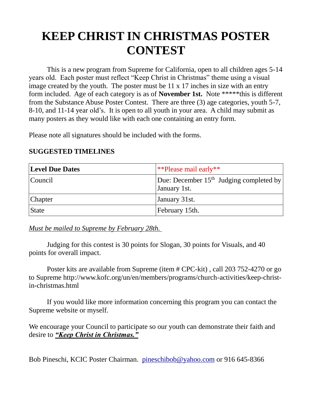## **KEEP CHRIST IN CHRISTMAS POSTER CONTEST**

This is a new program from Supreme for California, open to all children ages 5-14 years old. Each poster must reflect "Keep Christ in Christmas" theme using a visual image created by the youth. The poster must be 11 x 17 inches in size with an entry form included. Age of each category is as of **November 1st.** Note \*\*\*\*\*this is different from the Substance Abuse Poster Contest. There are three (3) age categories, youth 5-7, 8-10, and 11-14 year old's. It is open to all youth in your area. A child may submit as many posters as they would like with each one containing an entry form.

Please note all signatures should be included with the forms.

| <b>Level Due Dates</b> | **Please mail early**                                     |
|------------------------|-----------------------------------------------------------|
| Council                | Due: December $15th$ Judging completed by<br>January 1st. |
| <b>Chapter</b>         | January 31st.                                             |
| <b>State</b>           | February 15th.                                            |

## **SUGGESTED TIMELINES**

*Must be mailed to Supreme by February 28th.* 

Judging for this contest is 30 points for Slogan, 30 points for Visuals, and 40 points for overall impact.

Poster kits are available from Supreme (item # CPC-kit) , call 203 752-4270 or go to Supreme http://www.kofc.org/un/en/members/programs/church-activities/keep-christin-christmas.html

If you would like more information concerning this program you can contact the Supreme website or myself.

We encourage your Council to participate so our youth can demonstrate their faith and desire to *"Keep Christ in Christmas."*

Bob Pineschi, KCIC Poster Chairman. [pineschibob@yahoo.com](mailto:pineschibob@yahoo.com) or 916 645-8366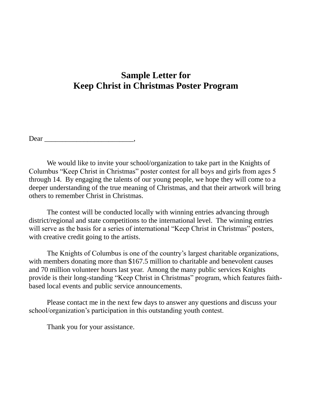## **Sample Letter for Keep Christ in Christmas Poster Program**

Dear  $\Box$ 

We would like to invite your school/organization to take part in the Knights of Columbus "Keep Christ in Christmas" poster contest for all boys and girls from ages 5 through 14. By engaging the talents of our young people, we hope they will come to a deeper understanding of the true meaning of Christmas, and that their artwork will bring others to remember Christ in Christmas.

The contest will be conducted locally with winning entries advancing through district/regional and state competitions to the international level. The winning entries will serve as the basis for a series of international "Keep Christ in Christmas" posters, with creative credit going to the artists.

The Knights of Columbus is one of the country's largest charitable organizations, with members donating more than \$167.5 million to charitable and benevolent causes and 70 million volunteer hours last year. Among the many public services Knights provide is their long-standing "Keep Christ in Christmas" program, which features faithbased local events and public service announcements.

Please contact me in the next few days to answer any questions and discuss your school/organization's participation in this outstanding youth contest.

Thank you for your assistance.